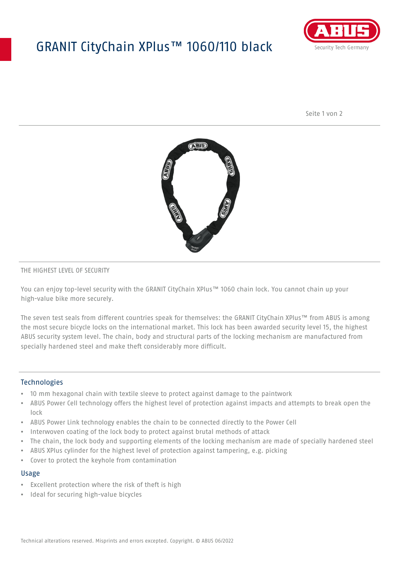## GRANIT CityChain XPlus™ 1060/110 black



Seite 1 von 2



#### THE HIGHEST LEVEL OF SECURITY

You can enjoy top-level security with the GRANIT CityChain XPlus™ 1060 chain lock. You cannot chain up your high-value bike more securely.

The seven test seals from different countries speak for themselves: the GRANIT CityChain XPlus™ from ABUS is among the most secure bicycle locks on the international market. This lock has been awarded security level 15, the highest ABUS security system level. The chain, body and structural parts of the locking mechanism are manufactured from specially hardened steel and make theft considerably more difficult.

#### **Technologies**

- 10 mm hexagonal chain with textile sleeve to protect against damage to the paintwork
- ABUS Power Cell technology offers the highest level of protection against impacts and attempts to break open the lock
- ABUS Power Link technology enables the chain to be connected directly to the Power Cell
- Interwoven coating of the lock body to protect against brutal methods of attack
- The chain, the lock body and supporting elements of the locking mechanism are made of specially hardened steel
- ABUS XPlus cylinder for the highest level of protection against tampering, e.g. picking
- Cover to protect the keyhole from contamination

#### Usage

- Excellent protection where the risk of theft is high
- Ideal for securing high-value bicycles